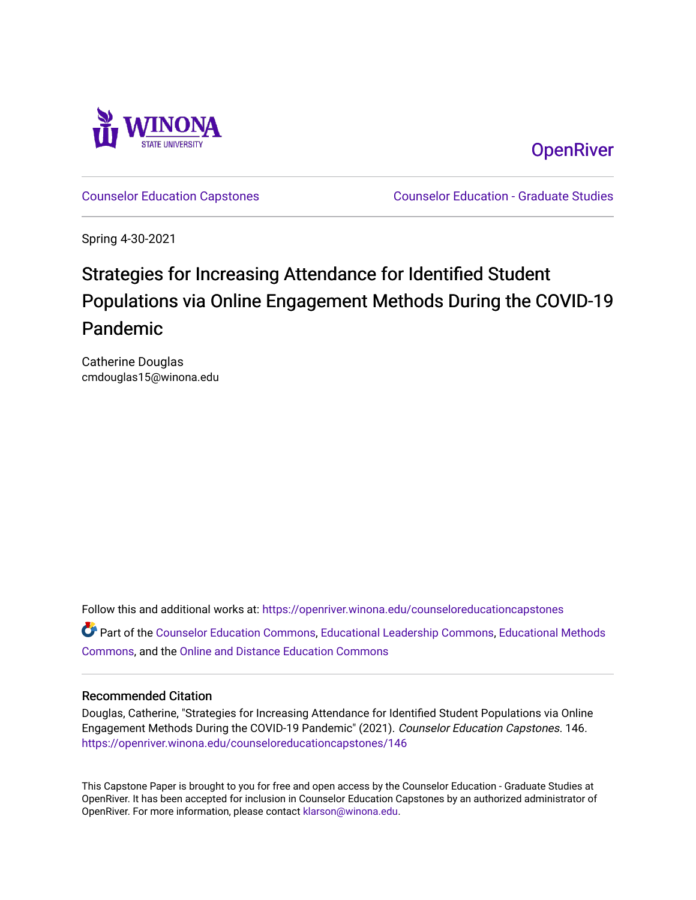

**OpenRiver** 

[Counselor Education Capstones](https://openriver.winona.edu/counseloreducationcapstones) [Counselor Education - Graduate Studies](https://openriver.winona.edu/counseloreducation) 

Spring 4-30-2021

# Strategies for Increasing Attendance for Identified Student Populations via Online Engagement Methods During the COVID-19 Pandemic

Catherine Douglas cmdouglas15@winona.edu

Follow this and additional works at: [https://openriver.winona.edu/counseloreducationcapstones](https://openriver.winona.edu/counseloreducationcapstones?utm_source=openriver.winona.edu%2Fcounseloreducationcapstones%2F146&utm_medium=PDF&utm_campaign=PDFCoverPages)

Part of the [Counselor Education Commons,](http://network.bepress.com/hgg/discipline/1278?utm_source=openriver.winona.edu%2Fcounseloreducationcapstones%2F146&utm_medium=PDF&utm_campaign=PDFCoverPages) [Educational Leadership Commons,](http://network.bepress.com/hgg/discipline/1230?utm_source=openriver.winona.edu%2Fcounseloreducationcapstones%2F146&utm_medium=PDF&utm_campaign=PDFCoverPages) [Educational Methods](http://network.bepress.com/hgg/discipline/1227?utm_source=openriver.winona.edu%2Fcounseloreducationcapstones%2F146&utm_medium=PDF&utm_campaign=PDFCoverPages)  [Commons](http://network.bepress.com/hgg/discipline/1227?utm_source=openriver.winona.edu%2Fcounseloreducationcapstones%2F146&utm_medium=PDF&utm_campaign=PDFCoverPages), and the [Online and Distance Education Commons](http://network.bepress.com/hgg/discipline/1296?utm_source=openriver.winona.edu%2Fcounseloreducationcapstones%2F146&utm_medium=PDF&utm_campaign=PDFCoverPages) 

#### Recommended Citation

Douglas, Catherine, "Strategies for Increasing Attendance for Identified Student Populations via Online Engagement Methods During the COVID-19 Pandemic" (2021). Counselor Education Capstones. 146. [https://openriver.winona.edu/counseloreducationcapstones/146](https://openriver.winona.edu/counseloreducationcapstones/146?utm_source=openriver.winona.edu%2Fcounseloreducationcapstones%2F146&utm_medium=PDF&utm_campaign=PDFCoverPages)

This Capstone Paper is brought to you for free and open access by the Counselor Education - Graduate Studies at OpenRiver. It has been accepted for inclusion in Counselor Education Capstones by an authorized administrator of OpenRiver. For more information, please contact [klarson@winona.edu](mailto:klarson@winona.edu).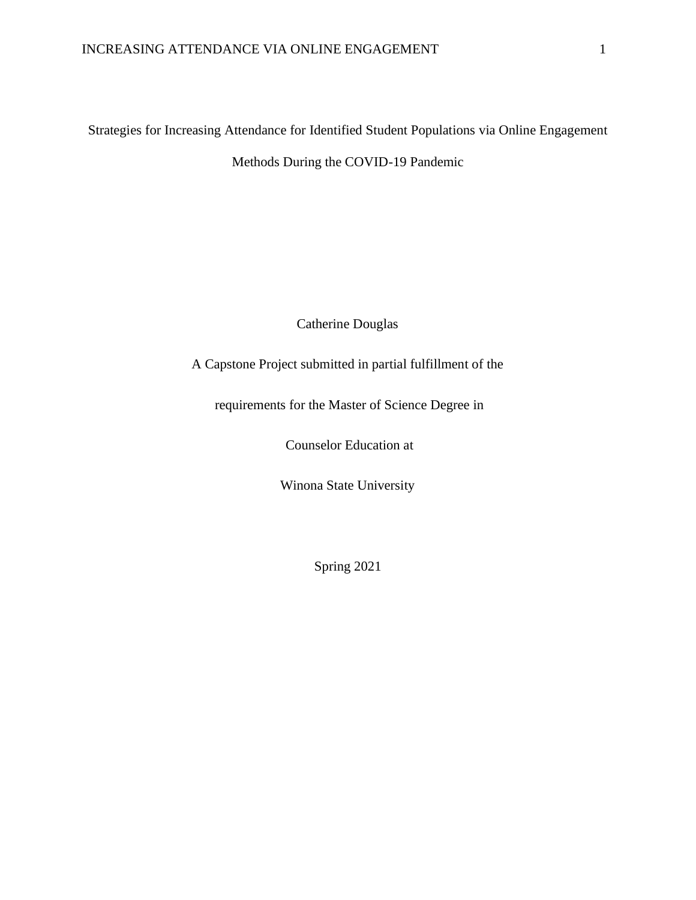Strategies for Increasing Attendance for Identified Student Populations via Online Engagement Methods During the COVID-19 Pandemic

Catherine Douglas

A Capstone Project submitted in partial fulfillment of the

requirements for the Master of Science Degree in

Counselor Education at

Winona State University

Spring 2021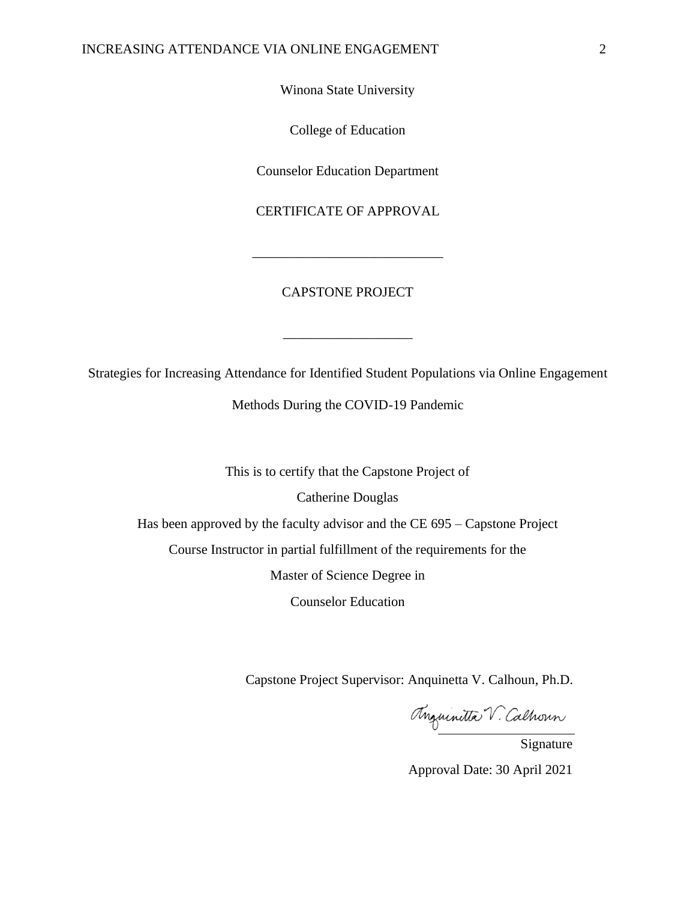Winona State University

College of Education

Counselor Education Department

CERTIFICATE OF APPROVAL

\_\_\_\_\_\_\_\_\_\_\_\_\_\_\_\_\_\_\_\_\_\_\_\_\_\_\_\_

#### CAPSTONE PROJECT

Strategies for Increasing Attendance for Identified Student Populations via Online Engagement

\_\_\_\_\_\_\_\_\_\_\_\_\_\_\_\_\_\_\_

Methods During the COVID-19 Pandemic

This is to certify that the Capstone Project of

Catherine Douglas

Has been approved by the faculty advisor and the CE 695 – Capstone Project

Course Instructor in partial fulfillment of the requirements for the

Master of Science Degree in

Counselor Education

Capstone Project Supervisor: Anquinetta V. Calhoun, Ph.D.

Maurinetta V. Calhoun

Approval Date: 30 April 2021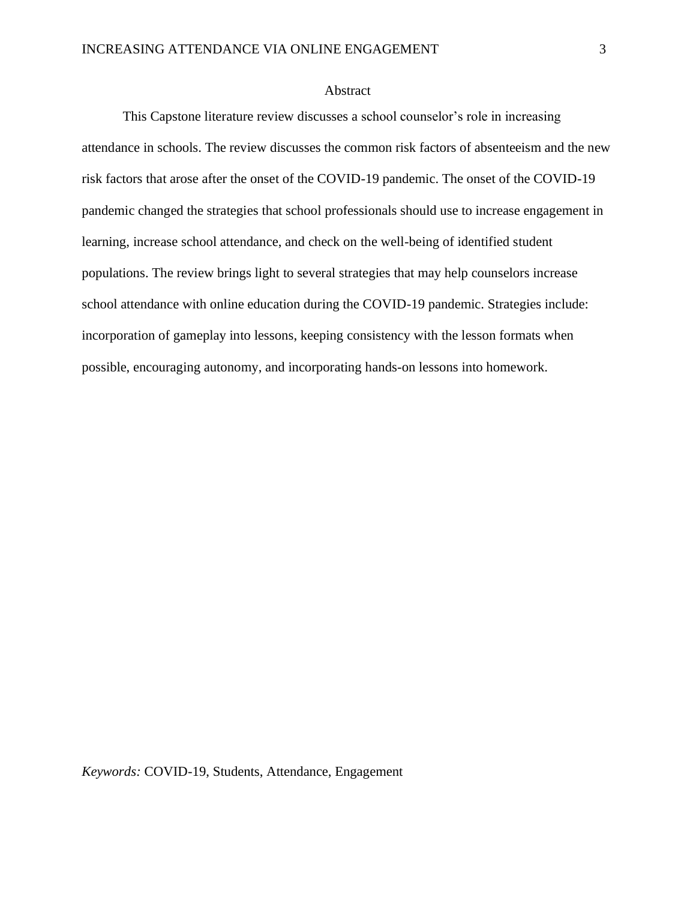#### Abstract

This Capstone literature review discusses a school counselor's role in increasing attendance in schools. The review discusses the common risk factors of absenteeism and the new risk factors that arose after the onset of the COVID-19 pandemic. The onset of the COVID-19 pandemic changed the strategies that school professionals should use to increase engagement in learning, increase school attendance, and check on the well-being of identified student populations. The review brings light to several strategies that may help counselors increase school attendance with online education during the COVID-19 pandemic. Strategies include: incorporation of gameplay into lessons, keeping consistency with the lesson formats when possible, encouraging autonomy, and incorporating hands-on lessons into homework.

*Keywords:* COVID-19, Students, Attendance, Engagement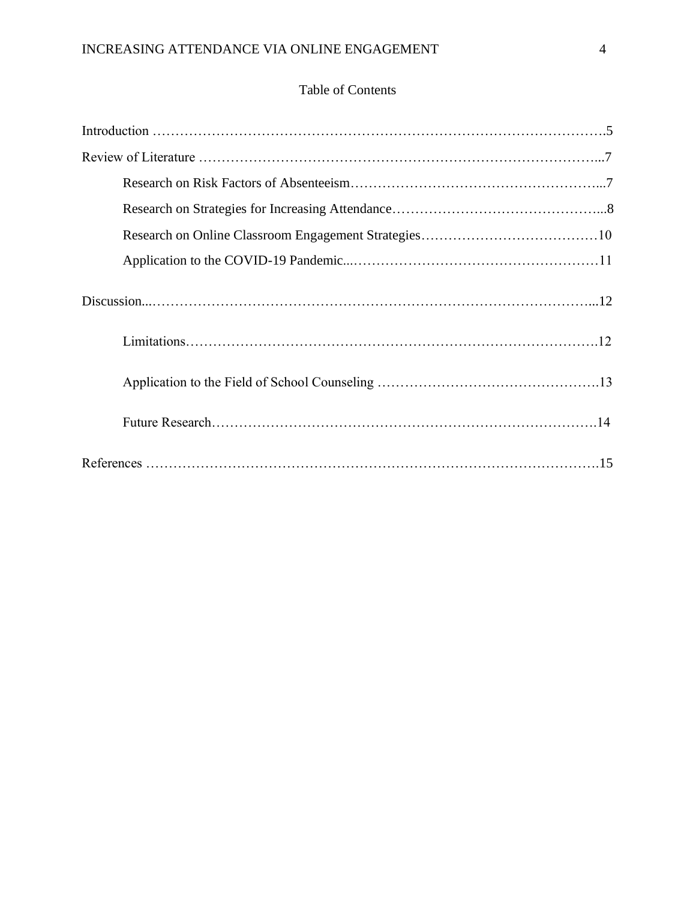### Table of Contents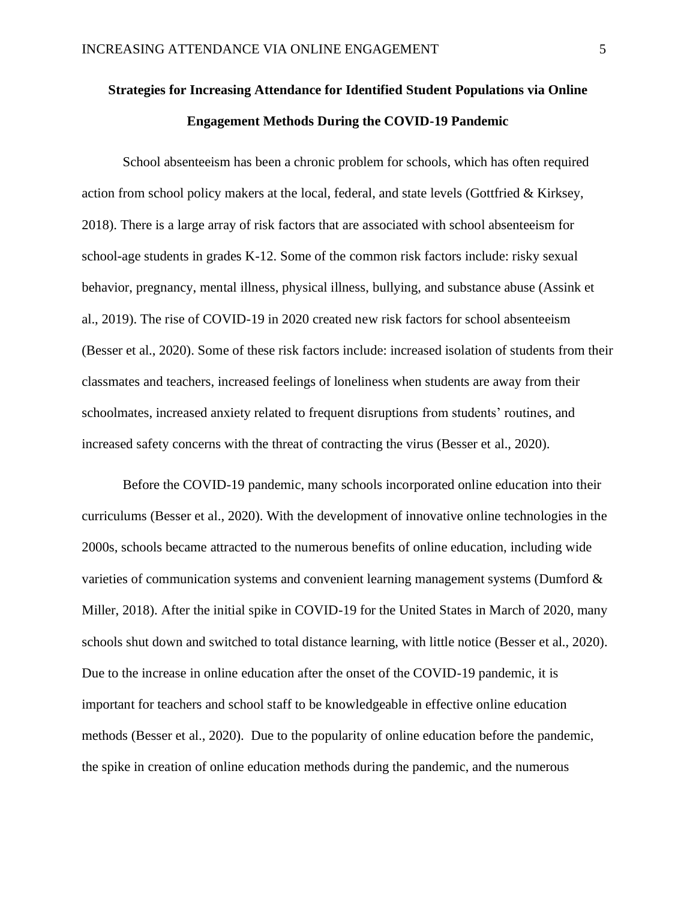## **Strategies for Increasing Attendance for Identified Student Populations via Online Engagement Methods During the COVID-19 Pandemic**

School absenteeism has been a chronic problem for schools, which has often required action from school policy makers at the local, federal, and state levels (Gottfried & Kirksey, 2018). There is a large array of risk factors that are associated with school absenteeism for school-age students in grades K-12. Some of the common risk factors include: risky sexual behavior, pregnancy, mental illness, physical illness, bullying, and substance abuse (Assink et al., 2019). The rise of COVID-19 in 2020 created new risk factors for school absenteeism (Besser et al., 2020). Some of these risk factors include: increased isolation of students from their classmates and teachers, increased feelings of loneliness when students are away from their schoolmates, increased anxiety related to frequent disruptions from students' routines, and increased safety concerns with the threat of contracting the virus (Besser et al., 2020).

Before the COVID-19 pandemic, many schools incorporated online education into their curriculums (Besser et al., 2020). With the development of innovative online technologies in the 2000s, schools became attracted to the numerous benefits of online education, including wide varieties of communication systems and convenient learning management systems (Dumford & Miller, 2018). After the initial spike in COVID-19 for the United States in March of 2020, many schools shut down and switched to total distance learning, with little notice (Besser et al., 2020). Due to the increase in online education after the onset of the COVID-19 pandemic, it is important for teachers and school staff to be knowledgeable in effective online education methods (Besser et al., 2020). Due to the popularity of online education before the pandemic, the spike in creation of online education methods during the pandemic, and the numerous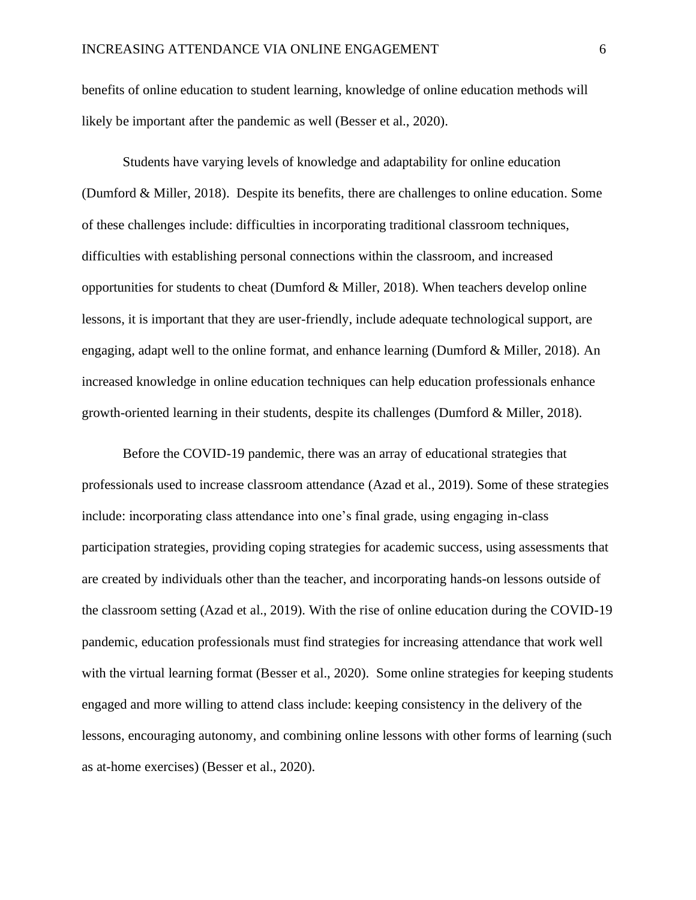benefits of online education to student learning, knowledge of online education methods will likely be important after the pandemic as well (Besser et al., 2020).

Students have varying levels of knowledge and adaptability for online education (Dumford & Miller, 2018). Despite its benefits, there are challenges to online education. Some of these challenges include: difficulties in incorporating traditional classroom techniques, difficulties with establishing personal connections within the classroom, and increased opportunities for students to cheat (Dumford & Miller, 2018). When teachers develop online lessons, it is important that they are user-friendly, include adequate technological support, are engaging, adapt well to the online format, and enhance learning (Dumford & Miller, 2018). An increased knowledge in online education techniques can help education professionals enhance growth-oriented learning in their students, despite its challenges (Dumford & Miller, 2018).

Before the COVID-19 pandemic, there was an array of educational strategies that professionals used to increase classroom attendance (Azad et al., 2019). Some of these strategies include: incorporating class attendance into one's final grade, using engaging in-class participation strategies, providing coping strategies for academic success, using assessments that are created by individuals other than the teacher, and incorporating hands-on lessons outside of the classroom setting (Azad et al., 2019). With the rise of online education during the COVID-19 pandemic, education professionals must find strategies for increasing attendance that work well with the virtual learning format (Besser et al., 2020). Some online strategies for keeping students engaged and more willing to attend class include: keeping consistency in the delivery of the lessons, encouraging autonomy, and combining online lessons with other forms of learning (such as at-home exercises) (Besser et al., 2020).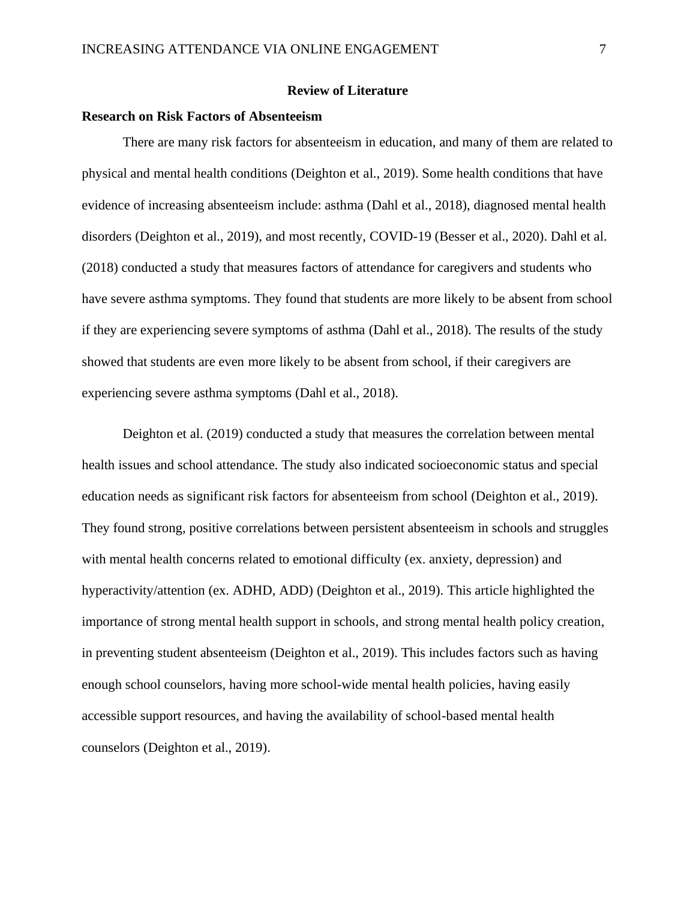#### **Review of Literature**

#### **Research on Risk Factors of Absenteeism**

There are many risk factors for absenteeism in education, and many of them are related to physical and mental health conditions (Deighton et al., 2019). Some health conditions that have evidence of increasing absenteeism include: asthma (Dahl et al., 2018), diagnosed mental health disorders (Deighton et al., 2019), and most recently, COVID-19 (Besser et al., 2020). Dahl et al. (2018) conducted a study that measures factors of attendance for caregivers and students who have severe asthma symptoms. They found that students are more likely to be absent from school if they are experiencing severe symptoms of asthma (Dahl et al., 2018). The results of the study showed that students are even more likely to be absent from school, if their caregivers are experiencing severe asthma symptoms (Dahl et al., 2018).

Deighton et al. (2019) conducted a study that measures the correlation between mental health issues and school attendance. The study also indicated socioeconomic status and special education needs as significant risk factors for absenteeism from school (Deighton et al., 2019). They found strong, positive correlations between persistent absenteeism in schools and struggles with mental health concerns related to emotional difficulty (ex. anxiety, depression) and hyperactivity/attention (ex. ADHD, ADD) (Deighton et al., 2019). This article highlighted the importance of strong mental health support in schools, and strong mental health policy creation, in preventing student absenteeism (Deighton et al., 2019). This includes factors such as having enough school counselors, having more school-wide mental health policies, having easily accessible support resources, and having the availability of school-based mental health counselors (Deighton et al., 2019).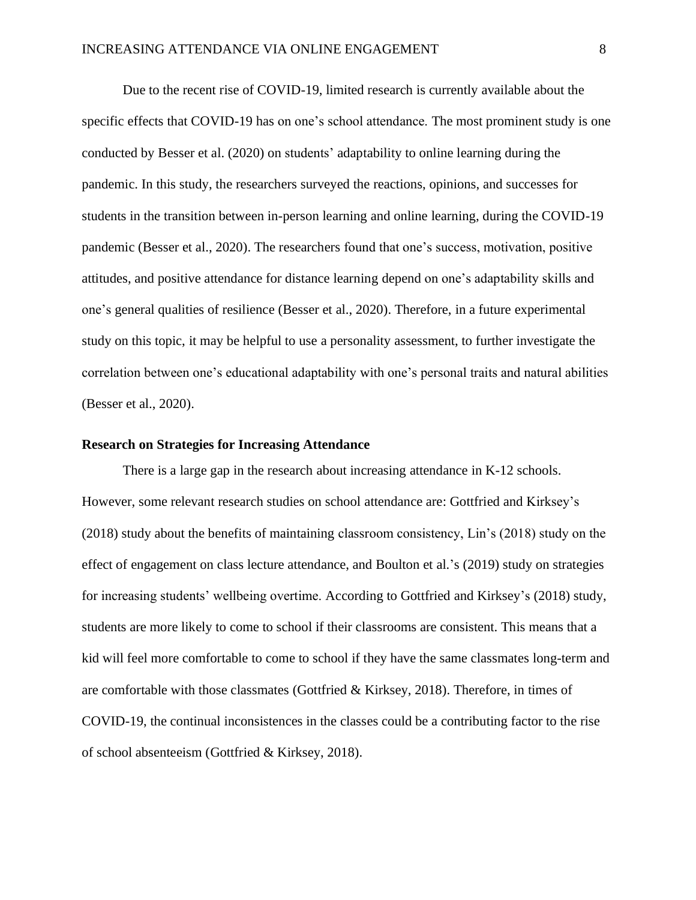Due to the recent rise of COVID-19, limited research is currently available about the specific effects that COVID-19 has on one's school attendance. The most prominent study is one conducted by Besser et al. (2020) on students' adaptability to online learning during the pandemic. In this study, the researchers surveyed the reactions, opinions, and successes for students in the transition between in-person learning and online learning, during the COVID-19 pandemic (Besser et al., 2020). The researchers found that one's success, motivation, positive attitudes, and positive attendance for distance learning depend on one's adaptability skills and one's general qualities of resilience (Besser et al., 2020). Therefore, in a future experimental study on this topic, it may be helpful to use a personality assessment, to further investigate the correlation between one's educational adaptability with one's personal traits and natural abilities (Besser et al., 2020).

#### **Research on Strategies for Increasing Attendance**

There is a large gap in the research about increasing attendance in K-12 schools. However, some relevant research studies on school attendance are: Gottfried and Kirksey's (2018) study about the benefits of maintaining classroom consistency, Lin's (2018) study on the effect of engagement on class lecture attendance, and Boulton et al.'s (2019) study on strategies for increasing students' wellbeing overtime. According to Gottfried and Kirksey's (2018) study, students are more likely to come to school if their classrooms are consistent. This means that a kid will feel more comfortable to come to school if they have the same classmates long-term and are comfortable with those classmates (Gottfried & Kirksey, 2018). Therefore, in times of COVID-19, the continual inconsistences in the classes could be a contributing factor to the rise of school absenteeism (Gottfried & Kirksey, 2018).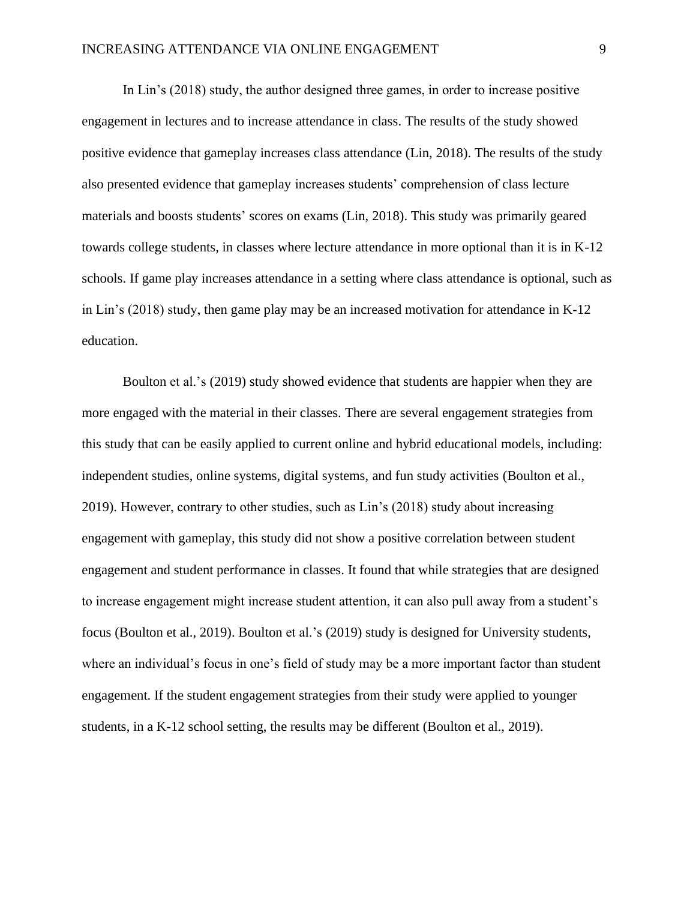In Lin's (2018) study, the author designed three games, in order to increase positive engagement in lectures and to increase attendance in class. The results of the study showed positive evidence that gameplay increases class attendance (Lin, 2018). The results of the study also presented evidence that gameplay increases students' comprehension of class lecture materials and boosts students' scores on exams (Lin, 2018). This study was primarily geared towards college students, in classes where lecture attendance in more optional than it is in K-12 schools. If game play increases attendance in a setting where class attendance is optional, such as in Lin's (2018) study, then game play may be an increased motivation for attendance in K-12 education.

Boulton et al.'s (2019) study showed evidence that students are happier when they are more engaged with the material in their classes. There are several engagement strategies from this study that can be easily applied to current online and hybrid educational models, including: independent studies, online systems, digital systems, and fun study activities (Boulton et al., 2019). However, contrary to other studies, such as Lin's (2018) study about increasing engagement with gameplay, this study did not show a positive correlation between student engagement and student performance in classes. It found that while strategies that are designed to increase engagement might increase student attention, it can also pull away from a student's focus (Boulton et al., 2019). Boulton et al.'s (2019) study is designed for University students, where an individual's focus in one's field of study may be a more important factor than student engagement. If the student engagement strategies from their study were applied to younger students, in a K-12 school setting, the results may be different (Boulton et al., 2019).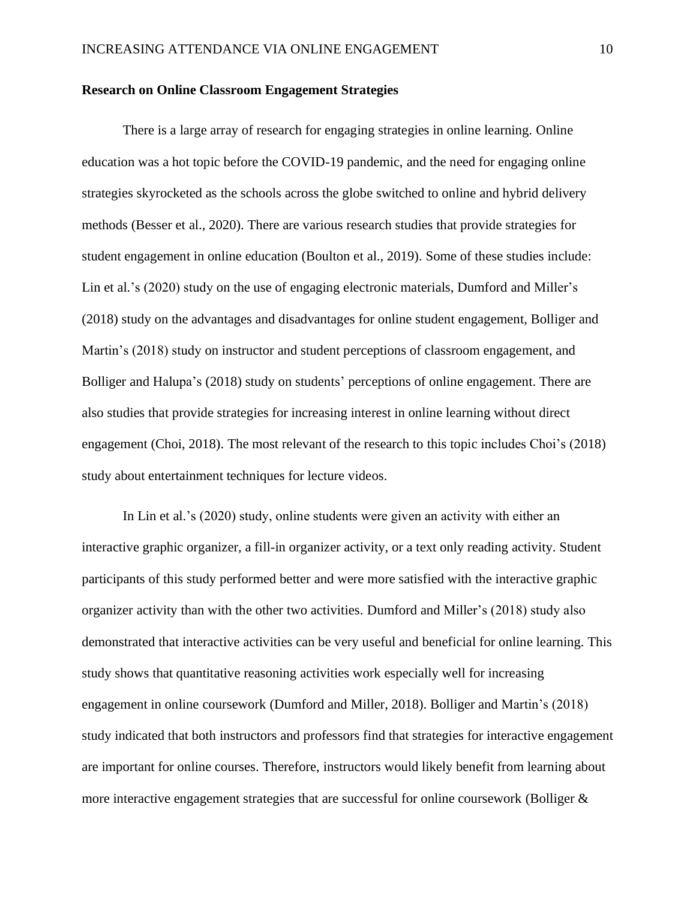#### **Research on Online Classroom Engagement Strategies**

There is a large array of research for engaging strategies in online learning. Online education was a hot topic before the COVID-19 pandemic, and the need for engaging online strategies skyrocketed as the schools across the globe switched to online and hybrid delivery methods (Besser et al., 2020). There are various research studies that provide strategies for student engagement in online education (Boulton et al., 2019). Some of these studies include: Lin et al.'s (2020) study on the use of engaging electronic materials, Dumford and Miller's (2018) study on the advantages and disadvantages for online student engagement, Bolliger and Martin's (2018) study on instructor and student perceptions of classroom engagement, and Bolliger and Halupa's (2018) study on students' perceptions of online engagement. There are also studies that provide strategies for increasing interest in online learning without direct engagement (Choi, 2018). The most relevant of the research to this topic includes Choi's (2018) study about entertainment techniques for lecture videos.

In Lin et al.'s (2020) study, online students were given an activity with either an interactive graphic organizer, a fill-in organizer activity, or a text only reading activity. Student participants of this study performed better and were more satisfied with the interactive graphic organizer activity than with the other two activities. Dumford and Miller's (2018) study also demonstrated that interactive activities can be very useful and beneficial for online learning. This study shows that quantitative reasoning activities work especially well for increasing engagement in online coursework (Dumford and Miller, 2018). Bolliger and Martin's (2018) study indicated that both instructors and professors find that strategies for interactive engagement are important for online courses. Therefore, instructors would likely benefit from learning about more interactive engagement strategies that are successful for online coursework (Bolliger  $\&$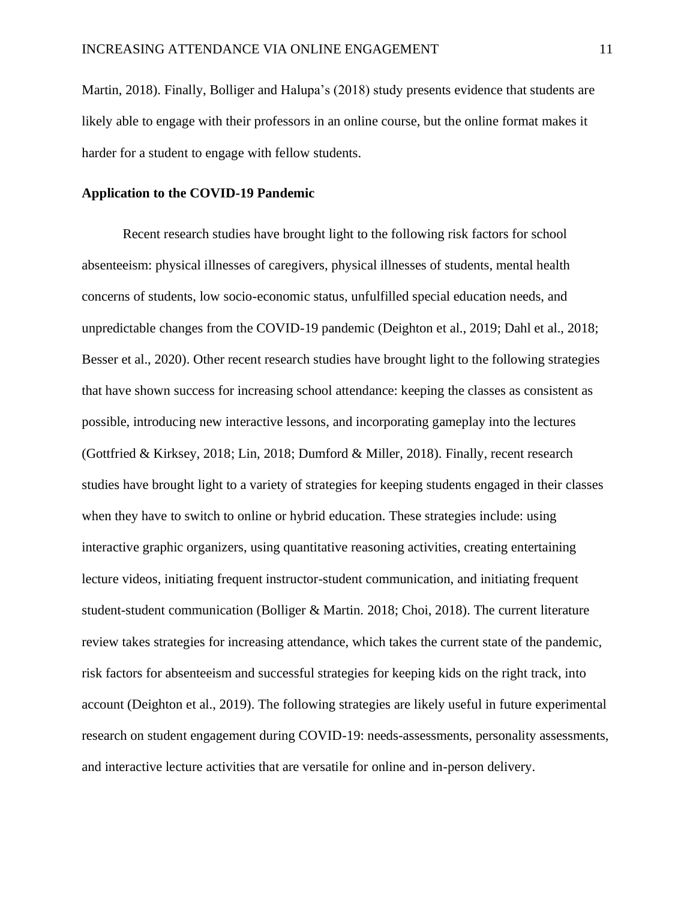Martin, 2018). Finally, Bolliger and Halupa's (2018) study presents evidence that students are likely able to engage with their professors in an online course, but the online format makes it harder for a student to engage with fellow students.

#### **Application to the COVID-19 Pandemic**

Recent research studies have brought light to the following risk factors for school absenteeism: physical illnesses of caregivers, physical illnesses of students, mental health concerns of students, low socio-economic status, unfulfilled special education needs, and unpredictable changes from the COVID-19 pandemic (Deighton et al., 2019; Dahl et al., 2018; Besser et al., 2020). Other recent research studies have brought light to the following strategies that have shown success for increasing school attendance: keeping the classes as consistent as possible, introducing new interactive lessons, and incorporating gameplay into the lectures (Gottfried & Kirksey, 2018; Lin, 2018; Dumford & Miller, 2018). Finally, recent research studies have brought light to a variety of strategies for keeping students engaged in their classes when they have to switch to online or hybrid education. These strategies include: using interactive graphic organizers, using quantitative reasoning activities, creating entertaining lecture videos, initiating frequent instructor-student communication, and initiating frequent student-student communication (Bolliger & Martin. 2018; Choi, 2018). The current literature review takes strategies for increasing attendance, which takes the current state of the pandemic, risk factors for absenteeism and successful strategies for keeping kids on the right track, into account (Deighton et al., 2019). The following strategies are likely useful in future experimental research on student engagement during COVID-19: needs-assessments, personality assessments, and interactive lecture activities that are versatile for online and in-person delivery.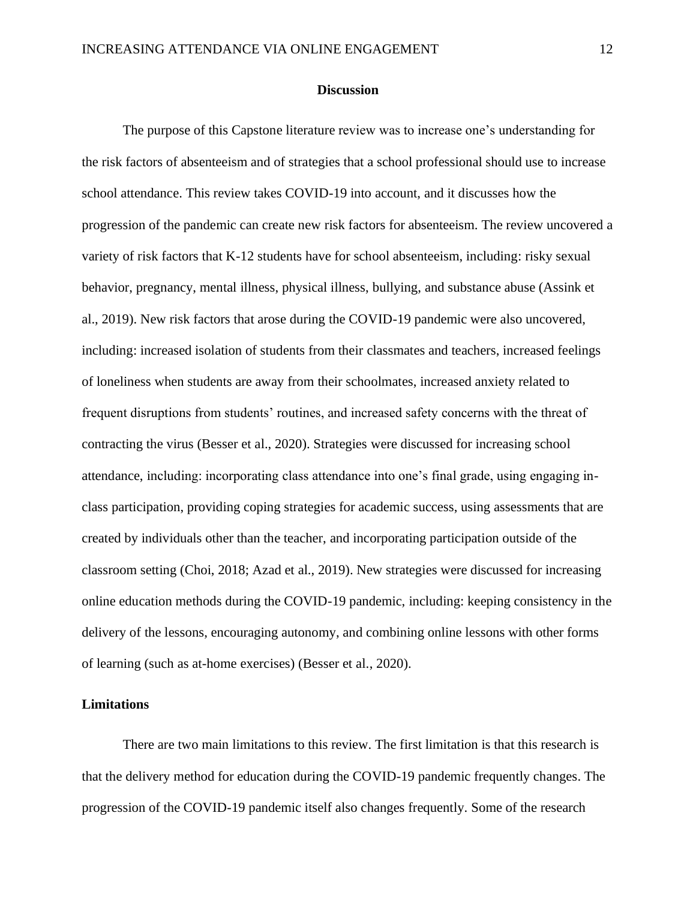#### **Discussion**

The purpose of this Capstone literature review was to increase one's understanding for the risk factors of absenteeism and of strategies that a school professional should use to increase school attendance. This review takes COVID-19 into account, and it discusses how the progression of the pandemic can create new risk factors for absenteeism. The review uncovered a variety of risk factors that K-12 students have for school absenteeism, including: risky sexual behavior, pregnancy, mental illness, physical illness, bullying, and substance abuse (Assink et al., 2019). New risk factors that arose during the COVID-19 pandemic were also uncovered, including: increased isolation of students from their classmates and teachers, increased feelings of loneliness when students are away from their schoolmates, increased anxiety related to frequent disruptions from students' routines, and increased safety concerns with the threat of contracting the virus (Besser et al., 2020). Strategies were discussed for increasing school attendance, including: incorporating class attendance into one's final grade, using engaging inclass participation, providing coping strategies for academic success, using assessments that are created by individuals other than the teacher, and incorporating participation outside of the classroom setting (Choi, 2018; Azad et al., 2019). New strategies were discussed for increasing online education methods during the COVID-19 pandemic, including: keeping consistency in the delivery of the lessons, encouraging autonomy, and combining online lessons with other forms of learning (such as at-home exercises) (Besser et al., 2020).

#### **Limitations**

There are two main limitations to this review. The first limitation is that this research is that the delivery method for education during the COVID-19 pandemic frequently changes. The progression of the COVID-19 pandemic itself also changes frequently. Some of the research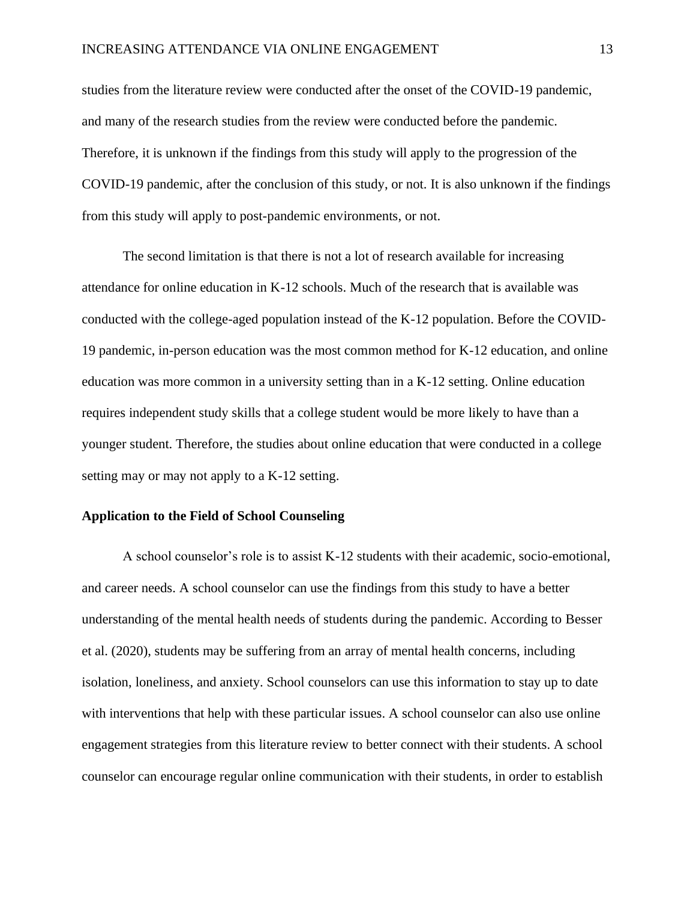studies from the literature review were conducted after the onset of the COVID-19 pandemic, and many of the research studies from the review were conducted before the pandemic. Therefore, it is unknown if the findings from this study will apply to the progression of the COVID-19 pandemic, after the conclusion of this study, or not. It is also unknown if the findings from this study will apply to post-pandemic environments, or not.

The second limitation is that there is not a lot of research available for increasing attendance for online education in K-12 schools. Much of the research that is available was conducted with the college-aged population instead of the K-12 population. Before the COVID-19 pandemic, in-person education was the most common method for K-12 education, and online education was more common in a university setting than in a K-12 setting. Online education requires independent study skills that a college student would be more likely to have than a younger student. Therefore, the studies about online education that were conducted in a college setting may or may not apply to a K-12 setting.

#### **Application to the Field of School Counseling**

A school counselor's role is to assist K-12 students with their academic, socio-emotional, and career needs. A school counselor can use the findings from this study to have a better understanding of the mental health needs of students during the pandemic. According to Besser et al. (2020), students may be suffering from an array of mental health concerns, including isolation, loneliness, and anxiety. School counselors can use this information to stay up to date with interventions that help with these particular issues. A school counselor can also use online engagement strategies from this literature review to better connect with their students. A school counselor can encourage regular online communication with their students, in order to establish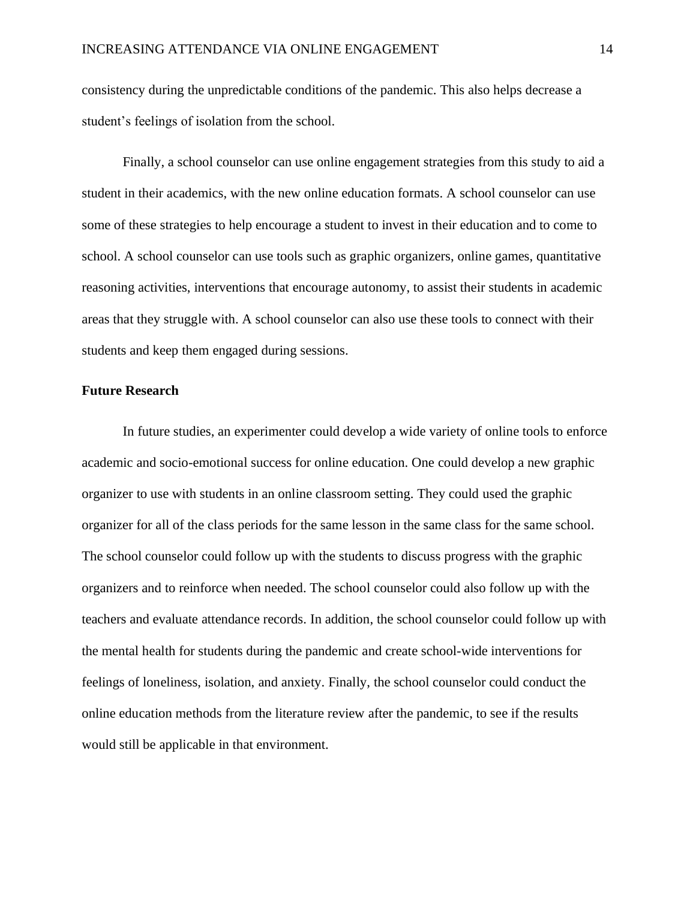consistency during the unpredictable conditions of the pandemic. This also helps decrease a student's feelings of isolation from the school.

Finally, a school counselor can use online engagement strategies from this study to aid a student in their academics, with the new online education formats. A school counselor can use some of these strategies to help encourage a student to invest in their education and to come to school. A school counselor can use tools such as graphic organizers, online games, quantitative reasoning activities, interventions that encourage autonomy, to assist their students in academic areas that they struggle with. A school counselor can also use these tools to connect with their students and keep them engaged during sessions.

#### **Future Research**

In future studies, an experimenter could develop a wide variety of online tools to enforce academic and socio-emotional success for online education. One could develop a new graphic organizer to use with students in an online classroom setting. They could used the graphic organizer for all of the class periods for the same lesson in the same class for the same school. The school counselor could follow up with the students to discuss progress with the graphic organizers and to reinforce when needed. The school counselor could also follow up with the teachers and evaluate attendance records. In addition, the school counselor could follow up with the mental health for students during the pandemic and create school-wide interventions for feelings of loneliness, isolation, and anxiety. Finally, the school counselor could conduct the online education methods from the literature review after the pandemic, to see if the results would still be applicable in that environment.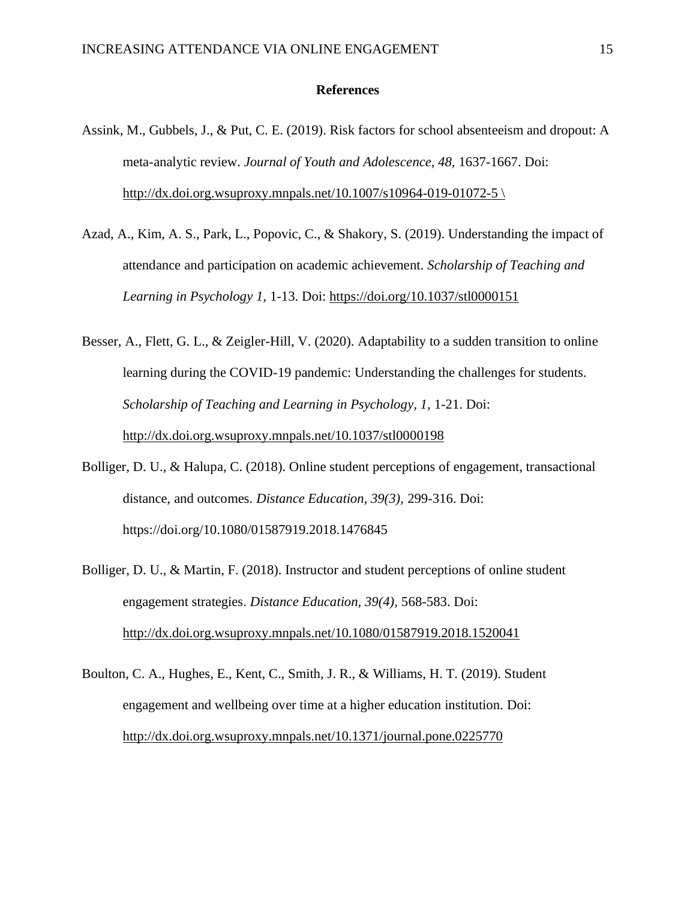#### **References**

- Assink, M., Gubbels, J., & Put, C. E. (2019). Risk factors for school absenteeism and dropout: A meta-analytic review. *Journal of Youth and Adolescence, 48,* 1637-1667. Doi: [http://dx.doi.org.wsuproxy.mnpals.net/10.1007/s10964-019-01072-5](http://dx.doi.org.wsuproxy.mnpals.net/10.1007/s10964-019-01072-5 /) \
- Azad, A., Kim, A. S., Park, L., Popovic, C., & Shakory, S. (2019). Understanding the impact of attendance and participation on academic achievement. *Scholarship of Teaching and Learning in Psychology 1,* 1-13. Doi: [https://doi.org/10.1037/stl0000151](https://doi.apa.org/doi/10.1037/stl0000151)
- Besser, A., Flett, G. L., & Zeigler-Hill, V. (2020). Adaptability to a sudden transition to online learning during the COVID-19 pandemic: Understanding the challenges for students. *Scholarship of Teaching and Learning in Psychology, 1, 1-21. Doi:* <http://dx.doi.org.wsuproxy.mnpals.net/10.1037/stl0000198>
- Bolliger, D. U., & Halupa, C. (2018). Online student perceptions of engagement, transactional distance, and outcomes. *Distance Education, 39(3),* 299-316. Doi: https://doi.org/10.1080/01587919.2018.1476845
- Bolliger, D. U., & Martin, F. (2018). Instructor and student perceptions of online student engagement strategies. *Distance Education, 39(4),* 568-583. Doi: <http://dx.doi.org.wsuproxy.mnpals.net/10.1080/01587919.2018.1520041>
- Boulton, C. A., Hughes, E., Kent, C., Smith, J. R., & Williams, H. T. (2019). Student engagement and wellbeing over time at a higher education institution. Doi: <http://dx.doi.org.wsuproxy.mnpals.net/10.1371/journal.pone.0225770>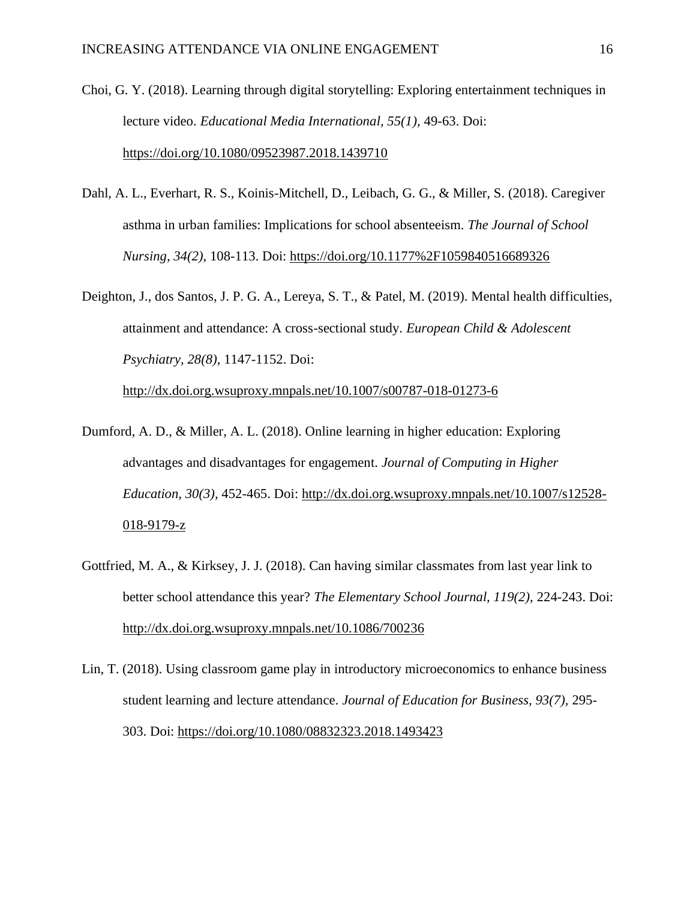- Choi, G. Y. (2018). Learning through digital storytelling: Exploring entertainment techniques in lecture video. *Educational Media International, 55(1),* 49-63. Doi: <https://doi.org/10.1080/09523987.2018.1439710>
- Dahl, A. L., Everhart, R. S., Koinis-Mitchell, D., Leibach, G. G., & Miller, S. (2018). Caregiver asthma in urban families: Implications for school absenteeism. *The Journal of School Nursing, 34(2)*, 108-113. Doi:<https://doi.org/10.1177%2F1059840516689326>
- Deighton, J., dos Santos, J. P. G. A., Lereya, S. T., & Patel, M. (2019). Mental health difficulties, attainment and attendance: A cross-sectional study. *European Child & Adolescent Psychiatry, 28(8),* 1147-1152. Doi:

<http://dx.doi.org.wsuproxy.mnpals.net/10.1007/s00787-018-01273-6>

- Dumford, A. D., & Miller, A. L. (2018). Online learning in higher education: Exploring advantages and disadvantages for engagement. *Journal of Computing in Higher Education, 30(3),* 452-465. Doi: [http://dx.doi.org.wsuproxy.mnpals.net/10.1007/s12528-](http://dx.doi.org.wsuproxy.mnpals.net/10.1007/s12528-018-9179-z) [018-9179-z](http://dx.doi.org.wsuproxy.mnpals.net/10.1007/s12528-018-9179-z)
- Gottfried, M. A., & Kirksey, J. J. (2018). Can having similar classmates from last year link to better school attendance this year? *The Elementary School Journal, 119(2),* 224-243. Doi: <http://dx.doi.org.wsuproxy.mnpals.net/10.1086/700236>
- Lin, T. (2018). Using classroom game play in introductory microeconomics to enhance business student learning and lecture attendance. *Journal of Education for Business, 93(7),* 295- 303. Doi:<https://doi.org/10.1080/08832323.2018.1493423>